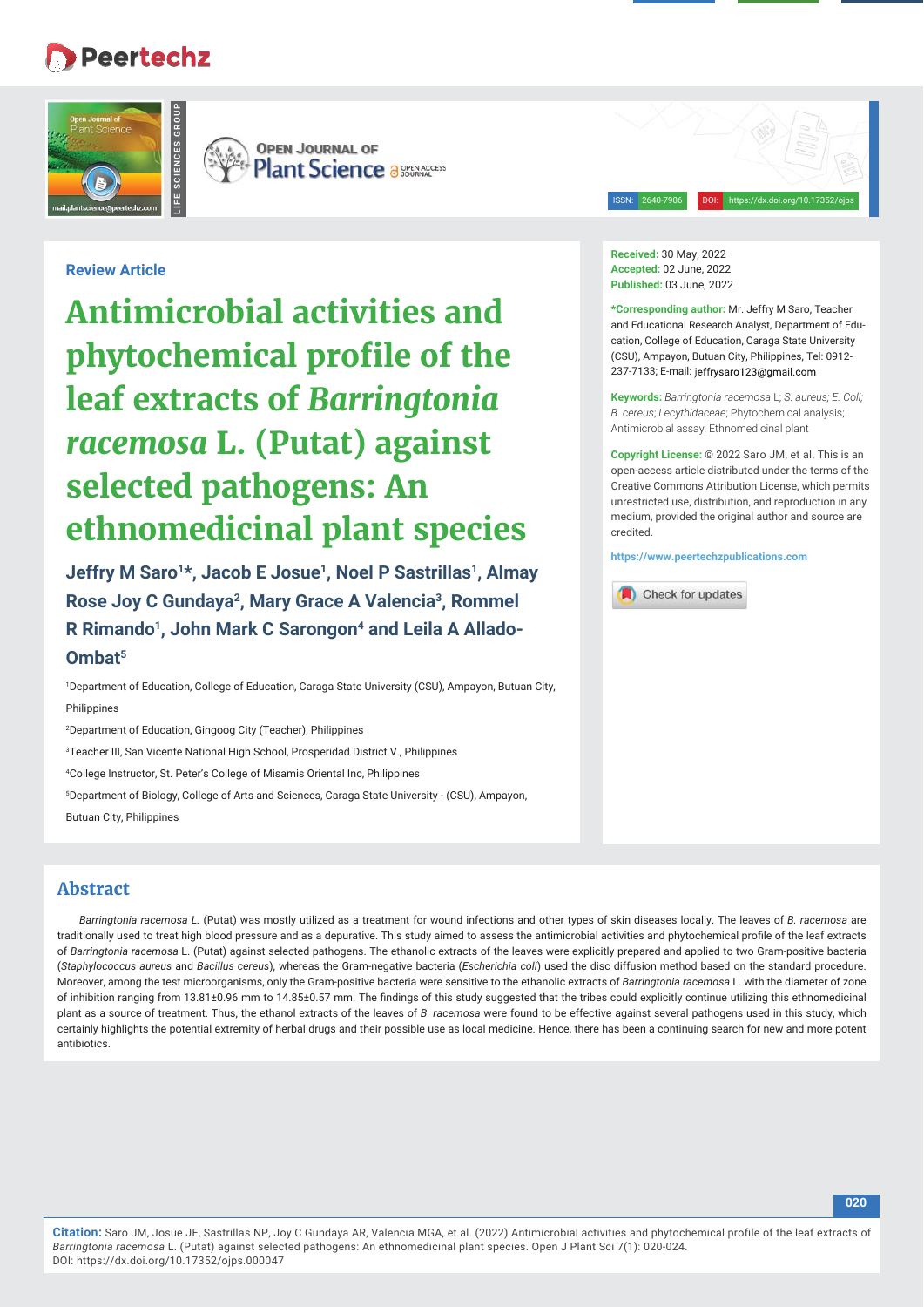# **Peertechz**



**OPEN JOURNAL OF Plant Science a SEERACCESS** 

# **Review Article**

**Antimicrobial activities and phytochemical profile of the leaf extracts of** *Barringtonia racemosa* **L. (Putat) against selected pathogens: An ethnomedicinal plant species**

Jeffry M Saro<sup>1\*</sup>, Jacob E Josue<sup>1</sup>, Noel P Sastrillas<sup>1</sup>, Almay **Rose Joy C Gundaya2, Mary Grace A Valencia3, Rommel**  R Rimando<sup>1</sup>, John Mark C Sarongon<sup>4</sup> and Leila A Allado-**Ombat5**

1 Department of Education, College of Education, Caraga State University (CSU), Ampayon, Butuan City, Philippines

2 Department of Education, Gingoog City (Teacher), Philippines

3 Teacher III, San Vicente National High School, Prosperidad District V., Philippines

4 College Instructor, St. Peter's College of Misamis Oriental Inc, Philippines

5 Department of Biology, College of Arts and Sciences, Caraga State University - (CSU), Ampayon, Butuan City, Philippines

# **Abstract**

*Barringtonia racemosa L.* (Putat) was mostly utilized as a treatment for wound infections and other types of skin diseases locally. The leaves of *B. racemosa* are traditionally used to treat high blood pressure and as a depurative. This study aimed to assess the antimicrobial activities and phytochemical profile of the leaf extracts of *Barringtonia racemosa* L. (Putat) against selected pathogens. The ethanolic extracts of the leaves were explicitly prepared and applied to two Gram-positive bacteria (*Staphylococcus aureus* and *Bacillus cereus*), whereas the Gram-negative bacteria (*Escherichia coli*) used the disc diffusion method based on the standard procedure. Moreover, among the test microorganisms, only the Gram-positive bacteria were sensitive to the ethanolic extracts of *Barringtonia racemosa* L. with the diameter of zone of inhibition ranging from 13.81±0.96 mm to 14.85±0.57 mm. The findings of this study suggested that the tribes could explicitly continue utilizing this ethnomedicinal plant as a source of treatment. Thus, the ethanol extracts of the leaves of *B. racemosa* were found to be effective against several pathogens used in this study, which certainly highlights the potential extremity of herbal drugs and their possible use as local medicine. Hence, there has been a continuing search for new and more potent antibiotics.

**Received:** 30 May, 2022 **Accepted:** 02 June, 2022 **Published:** 03 June, 2022

**\*Corresponding author:** Mr. Jeffry M Saro, Teacher and Educational Research Analyst, Department of Education, College of Education, Caraga State University (CSU), Ampayon, Butuan City, Philippines, Tel: 0912- 237-7133; E-mail: jeffrysaro123@gmail.com

ISSN: 2640-7906 DOI: https://dx.doi.org/10.17352/ojps

**Keywords:** *Barringtonia racemosa* L; *S. aureus; E. Coli; B. cereus*; *Lecythidaceae*; Phytochemical analysis; Antimicrobial assay; Ethnomedicinal plant

**Copyright License:** © 2022 Saro JM, et al. This is an open-access article distributed under the terms of the Creative Commons Attribution License, which permits unrestricted use, distribution, and reproduction in any medium, provided the original author and source are credited.

**https://www.peertechzpublications.com**

Check for updates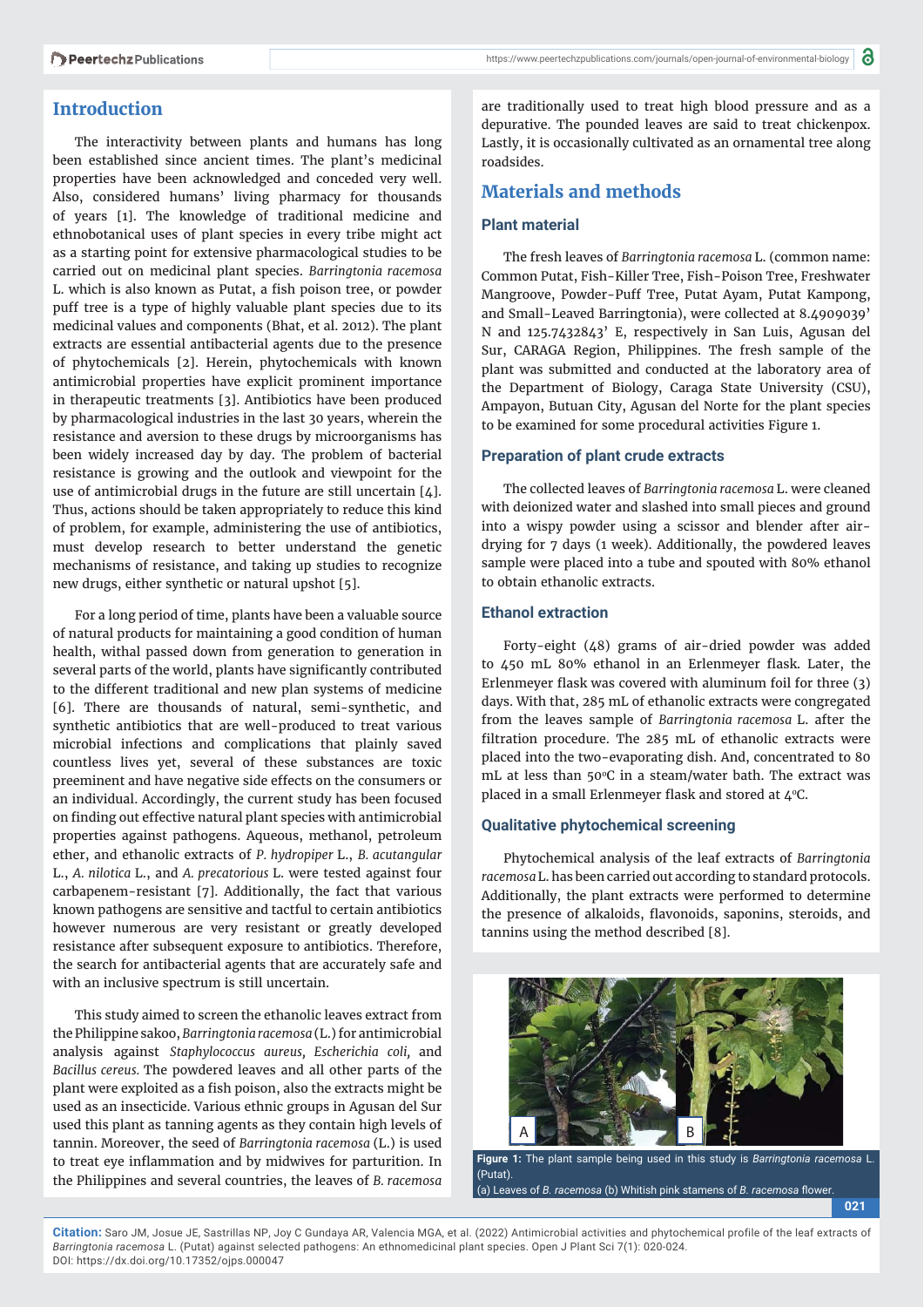# **Introduction**

The interactivity between plants and humans has long been established since ancient times. The plant's medicinal properties have been acknowledged and conceded very well. Also, considered humans' living pharmacy for thousands of years [1]. The knowledge of traditional medicine and ethnobotanical uses of plant species in every tribe might act as a starting point for extensive pharmacological studies to be carried out on medicinal plant species. *Barringtonia racemosa*  L. which is also known as Putat, a fish poison tree, or powder puff tree is a type of highly valuable plant species due to its medicinal values and components (Bhat, et al. 2012). The plant extracts are essential antibacterial agents due to the presence of phytochemicals [2]. Herein, phytochemicals with known antimicrobial properties have explicit prominent importance in therapeutic treatments [3]. Antibiotics have been produced by pharmacological industries in the last 30 years, wherein the resistance and aversion to these drugs by microorganisms has been widely increased day by day. The problem of bacterial resistance is growing and the outlook and viewpoint for the use of antimicrobial drugs in the future are still uncertain [4]. Thus, actions should be taken appropriately to reduce this kind of problem, for example, administering the use of antibiotics, must develop research to better understand the genetic mechanisms of resistance, and taking up studies to recognize new drugs, either synthetic or natural upshot [5].

For a long period of time, plants have been a valuable source of natural products for maintaining a good condition of human health, withal passed down from generation to generation in several parts of the world, plants have significantly contributed to the different traditional and new plan systems of medicine [6]. There are thousands of natural, semi-synthetic, and synthetic antibiotics that are well-produced to treat various microbial infections and complications that plainly saved countless lives yet, several of these substances are toxic preeminent and have negative side effects on the consumers or an individual. Accordingly, the current study has been focused on finding out effective natural plant species with antimicrobial properties against pathogens. Aqueous, methanol, petroleum ether, and ethanolic extracts of *P. hydropiper* L., *B. acutangular*  L., *A. nilotica* L., and *A. precatorious* L. were tested against four carbapenem-resistant [7]. Additionally, the fact that various known pathogens are sensitive and tactful to certain antibiotics however numerous are very resistant or greatly developed resistance after subsequent exposure to antibiotics. Therefore, the search for antibacterial agents that are accurately safe and with an inclusive spectrum is still uncertain.

This study aimed to screen the ethanolic leaves extract from the Philippine sakoo, *Barringtonia racemosa* (L.) for antimicrobial analysis against *Staphylococcus aureus, Escherichia coli,* and *Bacillus cereus.* The powdered leaves and all other parts of the plant were exploited as a fish poison, also the extracts might be used as an insecticide. Various ethnic groups in Agusan del Sur used this plant as tanning agents as they contain high levels of tannin. Moreover, the seed of *Barringtonia racemosa* (L.) is used to treat eye inflammation and by midwives for parturition. In the Philippines and several countries, the leaves of *B. racemosa* 

are traditionally used to treat high blood pressure and as a depurative. The pounded leaves are said to treat chickenpox. Lastly, it is occasionally cultivated as an ornamental tree along roadsides.

# **Materials and methods**

#### **Plant material**

The fresh leaves of *Barringtonia racemosa* L. (common name: Common Putat, Fish-Killer Tree, Fish-Poison Tree, Freshwater Mangroove, Powder-Puff Tree, Putat Ayam, Putat Kampong, and Small-Leaved Barringtonia), were collected at 8.4909039' N and 125.7432843' E, respectively in San Luis, Agusan del Sur, CARAGA Region, Philippines. The fresh sample of the plant was submitted and conducted at the laboratory area of the Department of Biology, Caraga State University (CSU), Ampayon, Butuan City, Agusan del Norte for the plant species to be examined for some procedural activities Figure 1.

#### **Preparation of plant crude extracts**

The collected leaves of *Barringtonia racemosa* L. were cleaned with deionized water and slashed into small pieces and ground into a wispy powder using a scissor and blender after airdrying for 7 days (1 week). Additionally, the powdered leaves sample were placed into a tube and spouted with 80% ethanol to obtain ethanolic extracts.

#### **Ethanol extraction**

Forty-eight (48) grams of air-dried powder was added to 450 mL 80% ethanol in an Erlenmeyer flask. Later, the Erlenmeyer flask was covered with aluminum foil for three (3) days. With that, 285 mL of ethanolic extracts were congregated from the leaves sample of *Barringtonia racemosa* L. after the filtration procedure. The 285 mL of ethanolic extracts were placed into the two-evaporating dish. And, concentrated to 80 mL at less than 50°C in a steam/water bath. The extract was placed in a small Erlenmeyer flask and stored at  $4^{\circ}$ C.

#### **Qualitative phytochemical screening**

Phytochemical analysis of the leaf extracts of *Barringtonia racemosa* L. has been carried out according to standard protocols. Additionally, the plant extracts were performed to determine the presence of alkaloids, flavonoids, saponins, steroids, and tannins using the method described [8].



**Figure 1:** The plant sample being used in this study is *Barringtonia racemosa* L. (Putat).

**021**

(a) Leaves of *B. racemosa* (b) Whitish pink stamens of *B. racemosa* flower

**Citation:** Saro JM, Josue JE, Sastrillas NP, Joy C Gundaya AR, Valencia MGA, et al. (2022) Antimicrobial activities and phytochemical profile of the leaf extracts of *Barringtonia racemosa* L. (Putat) against selected pathogens: An ethnomedicinal plant species. Open J Plant Sci 7(1): 020-024. DOI: https://dx.doi.org/10.17352/ojps.000047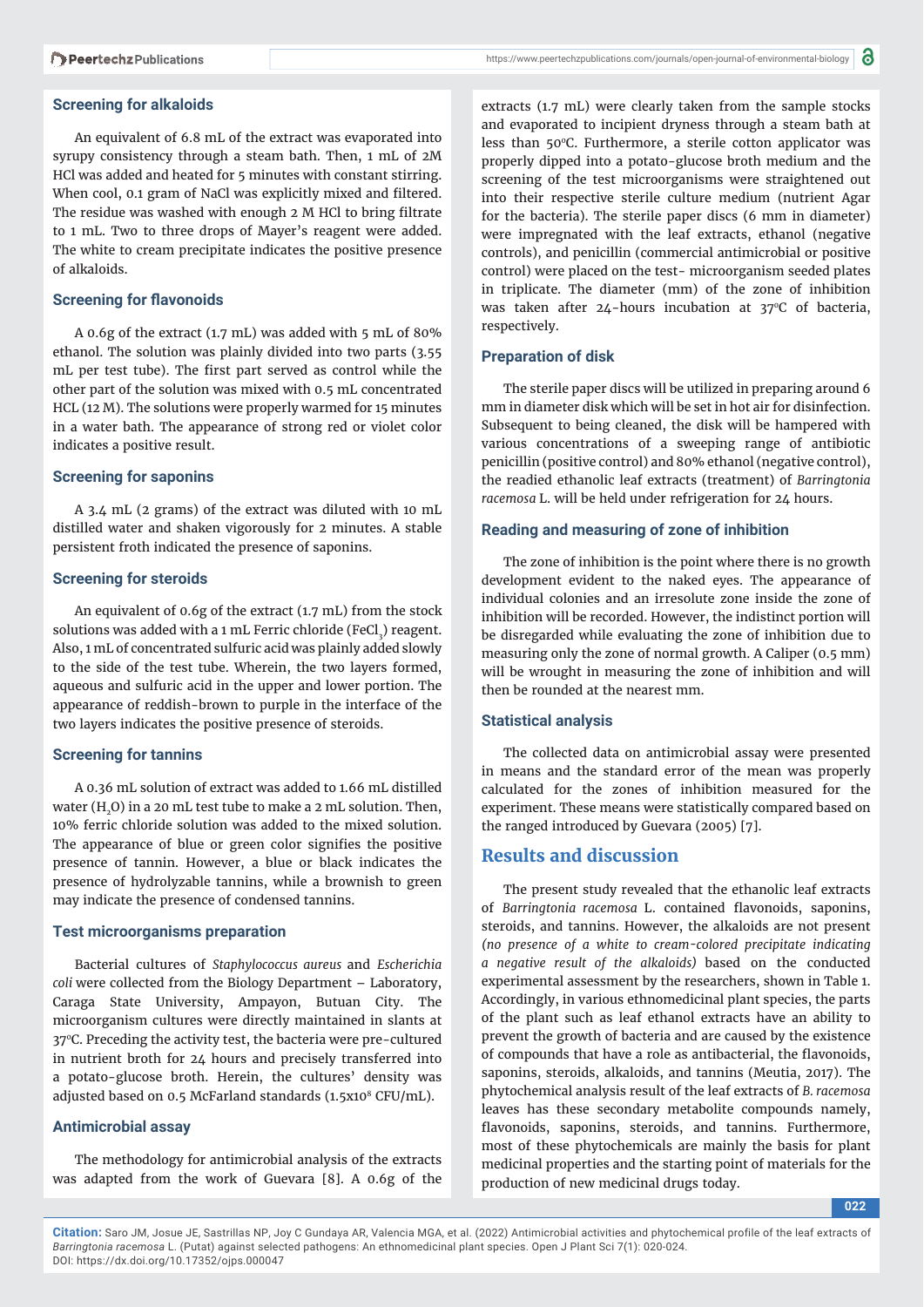#### **Screening for alkaloids**

An equivalent of 6.8 mL of the extract was evaporated into syrupy consistency through a steam bath. Then, 1 mL of 2M HCl was added and heated for 5 minutes with constant stirring. When cool, 0.1 gram of NaCl was explicitly mixed and filtered. The residue was washed with enough 2 M HCl to bring filtrate to 1 mL. Two to three drops of Mayer's reagent were added. The white to cream precipitate indicates the positive presence of alkaloids.

#### **Screening for flavonoids**

A 0.6g of the extract (1.7 mL) was added with 5 mL of 80% ethanol. The solution was plainly divided into two parts (3.55 mL per test tube). The first part served as control while the other part of the solution was mixed with 0.5 mL concentrated HCL (12 M). The solutions were properly warmed for 15 minutes in a water bath. The appearance of strong red or violet color indicates a positive result.

#### **Screening for saponins**

A 3.4 mL (2 grams) of the extract was diluted with 10 mL distilled water and shaken vigorously for 2 minutes. A stable persistent froth indicated the presence of saponins.

#### **Screening for steroids**

An equivalent of 0.6g of the extract (1.7 mL) from the stock solutions was added with a 1 mL Ferric chloride (FeCl $_{_3}$ ) reagent. Also, 1 mL of concentrated sulfuric acid was plainly added slowly to the side of the test tube. Wherein, the two layers formed, aqueous and sulfuric acid in the upper and lower portion. The appearance of reddish-brown to purple in the interface of the two layers indicates the positive presence of steroids.

#### **Screening for tannins**

A 0.36 mL solution of extract was added to 1.66 mL distilled water (H<sub>2</sub>O) in a 20 mL test tube to make a 2 mL solution. Then, 10% ferric chloride solution was added to the mixed solution. The appearance of blue or green color signifies the positive presence of tannin. However, a blue or black indicates the presence of hydrolyzable tannins, while a brownish to green may indicate the presence of condensed tannins.

#### **Test microorganisms preparation**

Bacterial cultures of *Staphylococcus aureus* and *Escherichia coli* were collected from the Biology Department – Laboratory, Caraga State University, Ampayon, Butuan City. The microorganism cultures were directly maintained in slants at 370C. Preceding the activity test, the bacteria were pre-cultured in nutrient broth for 24 hours and precisely transferred into a potato-glucose broth. Herein, the cultures' density was adjusted based on 0.5 McFarland standards (1.5x108 CFU/mL).

### **Antimicrobial assay**

The methodology for antimicrobial analysis of the extracts was adapted from the work of Guevara [8]. A 0.6g of the extracts (1.7 mL) were clearly taken from the sample stocks and evaporated to incipient dryness through a steam bath at less than 50°C. Furthermore, a sterile cotton applicator was properly dipped into a potato-glucose broth medium and the screening of the test microorganisms were straightened out into their respective sterile culture medium (nutrient Agar for the bacteria). The sterile paper discs (6 mm in diameter) were impregnated with the leaf extracts, ethanol (negative controls), and penicillin (commercial antimicrobial or positive control) were placed on the test- microorganism seeded plates in triplicate. The diameter (mm) of the zone of inhibition was taken after  $24$ -hours incubation at  $37^{\circ}$ C of bacteria, respectively.

#### **Preparation of disk**

The sterile paper discs will be utilized in preparing around 6 mm in diameter disk which will be set in hot air for disinfection. Subsequent to being cleaned, the disk will be hampered with various concentrations of a sweeping range of antibiotic penicillin (positive control) and 80% ethanol (negative control), the readied ethanolic leaf extracts (treatment) of *Barringtonia racemosa* L. will be held under refrigeration for 24 hours.

#### **Reading and measuring of zone of inhibition**

The zone of inhibition is the point where there is no growth development evident to the naked eyes. The appearance of individual colonies and an irresolute zone inside the zone of inhibition will be recorded. However, the indistinct portion will be disregarded while evaluating the zone of inhibition due to measuring only the zone of normal growth. A Caliper (0.5 mm) will be wrought in measuring the zone of inhibition and will then be rounded at the nearest mm.

## **Statistical analysis**

The collected data on antimicrobial assay were presented in means and the standard error of the mean was properly calculated for the zones of inhibition measured for the experiment. These means were statistically compared based on the ranged introduced by Guevara (2005) [7].

## **Results and discussion**

The present study revealed that the ethanolic leaf extracts of *Barringtonia racemosa* L. contained flavonoids, saponins, steroids, and tannins. However, the alkaloids are not present *(no presence of a white to cream-colored precipitate indicating a negative result of the alkaloids)* based on the conducted experimental assessment by the researchers, shown in Table 1. Accordingly, in various ethnomedicinal plant species, the parts of the plant such as leaf ethanol extracts have an ability to prevent the growth of bacteria and are caused by the existence of compounds that have a role as antibacterial, the flavonoids, saponins, steroids, alkaloids, and tannins (Meutia, 2017). The phytochemical analysis result of the leaf extracts of *B. racemosa*  leaves has these secondary metabolite compounds namely, flavonoids, saponins, steroids, and tannins. Furthermore, most of these phytochemicals are mainly the basis for plant medicinal properties and the starting point of materials for the production of new medicinal drugs today.

**022**

**Citation:** Saro JM, Josue JE, Sastrillas NP, Joy C Gundaya AR, Valencia MGA, et al. (2022) Antimicrobial activities and phytochemical profile of the leaf extracts of *Barringtonia racemosa* L. (Putat) against selected pathogens: An ethnomedicinal plant species. Open J Plant Sci 7(1): 020-024. DOI: https://dx.doi.org/10.17352/ojps.000047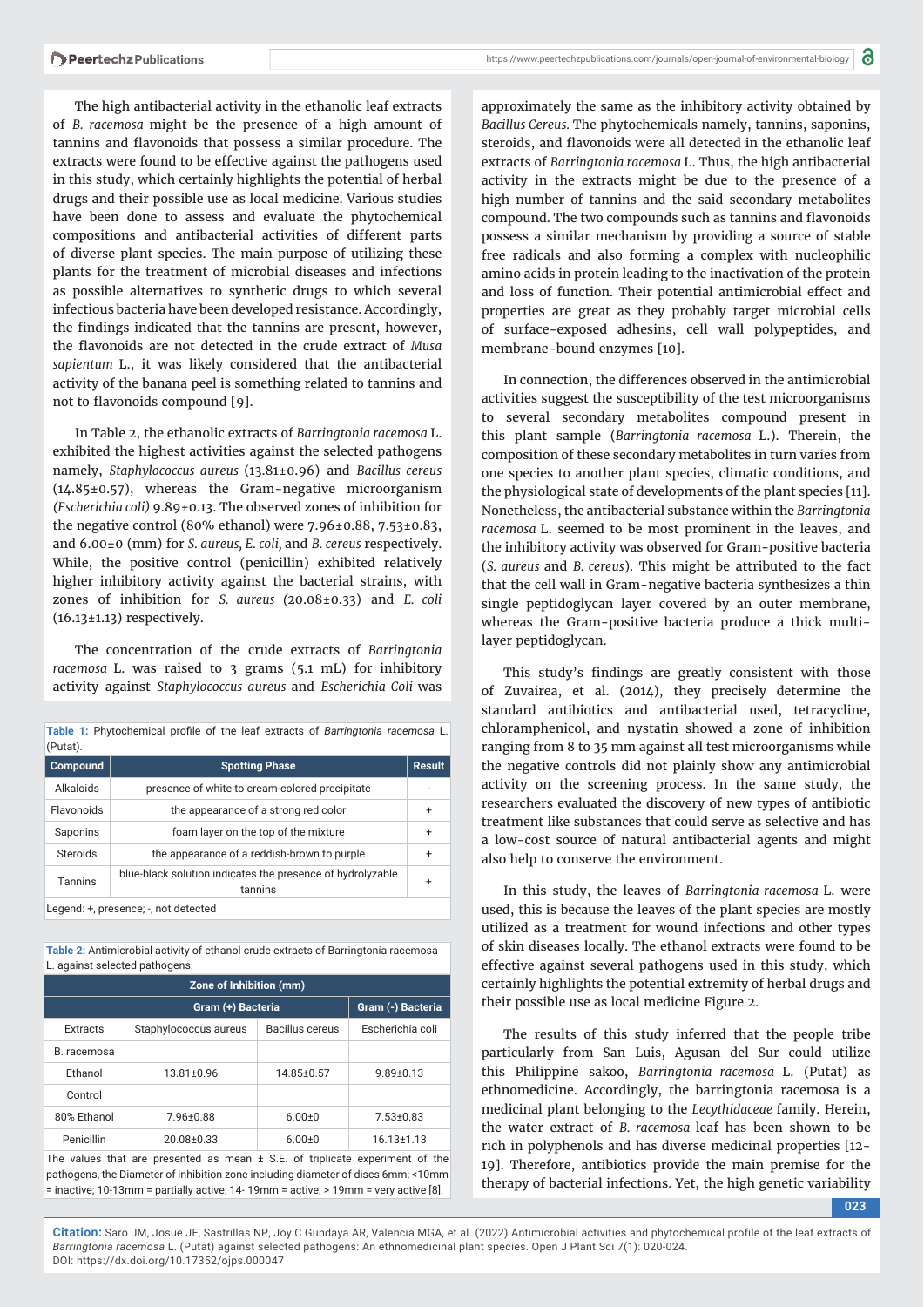https://www.peertechzpublications.com/journals/open-journal-of-environmental-biology

The high antibacterial activity in the ethanolic leaf extracts of *B. racemosa* might be the presence of a high amount of tannins and flavonoids that possess a similar procedure. The extracts were found to be effective against the pathogens used in this study, which certainly highlights the potential of herbal drugs and their possible use as local medicine. Various studies have been done to assess and evaluate the phytochemical compositions and antibacterial activities of different parts of diverse plant species. The main purpose of utilizing these plants for the treatment of microbial diseases and infections as possible alternatives to synthetic drugs to which several infectious bacteria have been developed resistance. Accordingly, the findings indicated that the tannins are present, however, the flavonoids are not detected in the crude extract of *Musa sapientum* L., it was likely considered that the antibacterial activity of the banana peel is something related to tannins and not to flavonoids compound [9].

In Table 2, the ethanolic extracts of *Barringtonia racemosa* L. exhibited the highest activities against the selected pathogens namely, *Staphylococcus aureus* (13.81±0.96) and *Bacillus cereus*  (14.85±0.57), whereas the Gram-negative microorganism *(Escherichia coli)* 9.89±0.13. The observed zones of inhibition for the negative control (80% ethanol) were  $7.96\pm0.88$ ,  $7.53\pm0.83$ , and 6.00±0 (mm) for *S. aureus, E. coli,* and *B. cereus* respectively. While, the positive control (penicillin) exhibited relatively higher inhibitory activity against the bacterial strains, with zones of inhibition for *S. aureus (*20.08±0.33) and *E. coli*  (16.13±1.13) respectively.

The concentration of the crude extracts of *Barringtonia racemosa* L. was raised to 3 grams (5.1 mL) for inhibitory activity against *Staphylococcus aureus* and *Escherichia Coli* was

Table 1: Phytochemical profile of the leaf extracts of *Barringtonia racemosa* L.

| (Putat).       |                                                                       |   |
|----------------|-----------------------------------------------------------------------|---|
| Compound       | <b>Spotting Phase</b>                                                 |   |
| Alkaloids      | presence of white to cream-colored precipitate                        |   |
| Flavonoids     | the appearance of a strong red color                                  |   |
| Saponins       | foam layer on the top of the mixture                                  |   |
| Steroids       | the appearance of a reddish-brown to purple                           |   |
| <b>Tannins</b> | blue-black solution indicates the presence of hydrolyzable<br>tannins | ÷ |
|                | Legend: +, presence; -, not detected                                  |   |

**Table 2:** Antimicrobial activity of ethanol crude extracts of Barringtonia racemosa L. against selected pathogens

| Zone of Inhibition (mm) |                       |                 |                   |  |
|-------------------------|-----------------------|-----------------|-------------------|--|
|                         | Gram (+) Bacteria     |                 | Gram (-) Bacteria |  |
| Extracts                | Staphylococcus aureus | Bacillus cereus | Escherichia coli  |  |
| B. racemosa             |                       |                 |                   |  |
| Fthanol                 | 13.81±0.96            | 14.85±0.57      | $9.89 \pm 0.13$   |  |
| Control                 |                       |                 |                   |  |
| 80% Ethanol             | $7.96 \pm 0.88$       | $6.00 + 0$      | $7.53 \pm 0.83$   |  |
| Penicillin              | 20.08±0.33            | $6.00 + 0$      | $16.13 \pm 1.13$  |  |

The values that are presented as mean  $\pm$  S.E. of triplicate experiment of the pathogens, the Diameter of inhibition zone including diameter of discs 6mm; <10mm = inactive; 10-13mm = partially active; 14- 19mm = active; > 19mm = very active [8].

approximately the same as the inhibitory activity obtained by *Bacillus Cereus.* The phytochemicals namely, tannins, saponins, steroids, and flavonoids were all detected in the ethanolic leaf extracts of *Barringtonia racemosa* L. Thus, the high antibacterial activity in the extracts might be due to the presence of a high number of tannins and the said secondary metabolites compound. The two compounds such as tannins and flavonoids possess a similar mechanism by providing a source of stable free radicals and also forming a complex with nucleophilic amino acids in protein leading to the inactivation of the protein and loss of function. Their potential antimicrobial effect and properties are great as they probably target microbial cells of surface-exposed adhesins, cell wall polypeptides, and membrane-bound enzymes [10].

In connection, the differences observed in the antimicrobial activities suggest the susceptibility of the test microorganisms to several secondary metabolites compound present in this plant sample (*Barringtonia racemosa* L.). Therein, the composition of these secondary metabolites in turn varies from one species to another plant species, climatic conditions, and the physiological state of developments of the plant species [11]. Nonetheless, the antibacterial substance within the *Barringtonia racemosa* L. seemed to be most prominent in the leaves, and the inhibitory activity was observed for Gram-positive bacteria (*S. aureus* and *B. cereus*). This might be attributed to the fact that the cell wall in Gram-negative bacteria synthesizes a thin single peptidoglycan layer covered by an outer membrane, whereas the Gram-positive bacteria produce a thick multilayer peptidoglycan.

This study's findings are greatly consistent with those of Zuvairea, et al. (2014), they precisely determine the standard antibiotics and antibacterial used, tetracycline, chloramphenicol, and nystatin showed a zone of inhibition ranging from 8 to 35 mm against all test microorganisms while the negative controls did not plainly show any antimicrobial activity on the screening process. In the same study, the researchers evaluated the discovery of new types of antibiotic treatment like substances that could serve as selective and has a low-cost source of natural antibacterial agents and might also help to conserve the environment.

In this study, the leaves of *Barringtonia racemosa* L. were used, this is because the leaves of the plant species are mostly utilized as a treatment for wound infections and other types of skin diseases locally. The ethanol extracts were found to be effective against several pathogens used in this study, which certainly highlights the potential extremity of herbal drugs and their possible use as local medicine Figure 2.

The results of this study inferred that the people tribe particularly from San Luis, Agusan del Sur could utilize this Philippine sakoo, *Barringtonia racemosa* L. (Putat) as ethnomedicine. Accordingly, the barringtonia racemosa is a medicinal plant belonging to the *Lecythidaceae* family. Herein, the water extract of *B. racemosa* leaf has been shown to be rich in polyphenols and has diverse medicinal properties [12- 19]. Therefore, antibiotics provide the main premise for the therapy of bacterial infections. Yet, the high genetic variability

**023**

**Citation:** Saro JM, Josue JE, Sastrillas NP, Joy C Gundaya AR, Valencia MGA, et al. (2022) Antimicrobial activities and phytochemical profile of the leaf extracts of *Barringtonia racemosa* L. (Putat) against selected pathogens: An ethnomedicinal plant species. Open J Plant Sci 7(1): 020-024. DOI: https://dx.doi.org/10.17352/ojps.000047